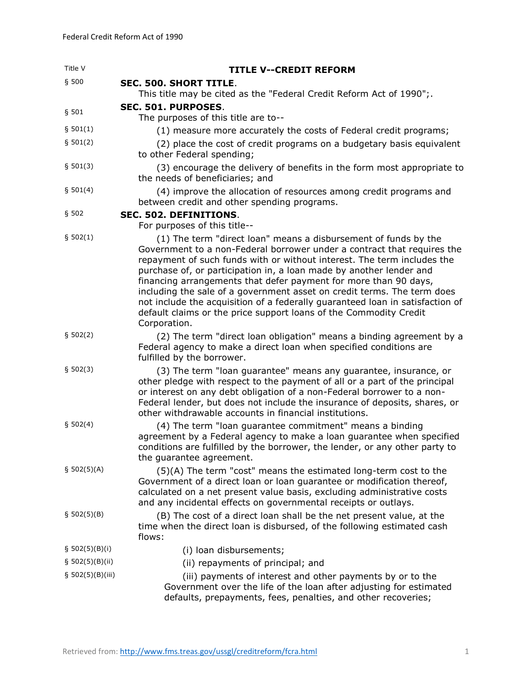| Title V          | <b>TITLE V--CREDIT REFORM</b>                                                                                                                                                                                                                                                                                                                                                                                                                                                                                                                                                                                     |
|------------------|-------------------------------------------------------------------------------------------------------------------------------------------------------------------------------------------------------------------------------------------------------------------------------------------------------------------------------------------------------------------------------------------------------------------------------------------------------------------------------------------------------------------------------------------------------------------------------------------------------------------|
| $§$ 500          | <b>SEC. 500. SHORT TITLE.</b>                                                                                                                                                                                                                                                                                                                                                                                                                                                                                                                                                                                     |
|                  | This title may be cited as the "Federal Credit Reform Act of 1990";                                                                                                                                                                                                                                                                                                                                                                                                                                                                                                                                               |
| § 501            | SEC. 501. PURPOSES.                                                                                                                                                                                                                                                                                                                                                                                                                                                                                                                                                                                               |
|                  | The purposes of this title are to--                                                                                                                                                                                                                                                                                                                                                                                                                                                                                                                                                                               |
| \$501(1)         | (1) measure more accurately the costs of Federal credit programs;                                                                                                                                                                                                                                                                                                                                                                                                                                                                                                                                                 |
| \$501(2)         | (2) place the cost of credit programs on a budgetary basis equivalent<br>to other Federal spending;                                                                                                                                                                                                                                                                                                                                                                                                                                                                                                               |
| § 501(3)         | (3) encourage the delivery of benefits in the form most appropriate to<br>the needs of beneficiaries; and                                                                                                                                                                                                                                                                                                                                                                                                                                                                                                         |
| \$501(4)         | (4) improve the allocation of resources among credit programs and<br>between credit and other spending programs.                                                                                                                                                                                                                                                                                                                                                                                                                                                                                                  |
| § 502            | SEC. 502. DEFINITIONS.                                                                                                                                                                                                                                                                                                                                                                                                                                                                                                                                                                                            |
|                  | For purposes of this title--                                                                                                                                                                                                                                                                                                                                                                                                                                                                                                                                                                                      |
| § 502(1)         | (1) The term "direct loan" means a disbursement of funds by the<br>Government to a non-Federal borrower under a contract that requires the<br>repayment of such funds with or without interest. The term includes the<br>purchase of, or participation in, a loan made by another lender and<br>financing arrangements that defer payment for more than 90 days,<br>including the sale of a government asset on credit terms. The term does<br>not include the acquisition of a federally guaranteed loan in satisfaction of<br>default claims or the price support loans of the Commodity Credit<br>Corporation. |
| \$502(2)         | (2) The term "direct loan obligation" means a binding agreement by a<br>Federal agency to make a direct loan when specified conditions are<br>fulfilled by the borrower.                                                                                                                                                                                                                                                                                                                                                                                                                                          |
| \$502(3)         | (3) The term "loan guarantee" means any guarantee, insurance, or<br>other pledge with respect to the payment of all or a part of the principal<br>or interest on any debt obligation of a non-Federal borrower to a non-<br>Federal lender, but does not include the insurance of deposits, shares, or<br>other withdrawable accounts in financial institutions.                                                                                                                                                                                                                                                  |
| \$502(4)         | (4) The term "loan guarantee commitment" means a binding<br>agreement by a Federal agency to make a loan guarantee when specified<br>conditions are fulfilled by the borrower, the lender, or any other party to<br>the guarantee agreement.                                                                                                                                                                                                                                                                                                                                                                      |
| \$502(5)(A)      | (5)(A) The term "cost" means the estimated long-term cost to the<br>Government of a direct loan or loan guarantee or modification thereof,<br>calculated on a net present value basis, excluding administrative costs<br>and any incidental effects on governmental receipts or outlays.                                                                                                                                                                                                                                                                                                                          |
| \$502(5)(B)      | (B) The cost of a direct loan shall be the net present value, at the<br>time when the direct loan is disbursed, of the following estimated cash<br>flows:                                                                                                                                                                                                                                                                                                                                                                                                                                                         |
| \$502(5)(B)(i)   | (i) loan disbursements;                                                                                                                                                                                                                                                                                                                                                                                                                                                                                                                                                                                           |
| \$502(5)(B)(ii)  | (ii) repayments of principal; and                                                                                                                                                                                                                                                                                                                                                                                                                                                                                                                                                                                 |
| \$502(5)(B)(iii) | (iii) payments of interest and other payments by or to the<br>Government over the life of the loan after adjusting for estimated<br>defaults, prepayments, fees, penalties, and other recoveries;                                                                                                                                                                                                                                                                                                                                                                                                                 |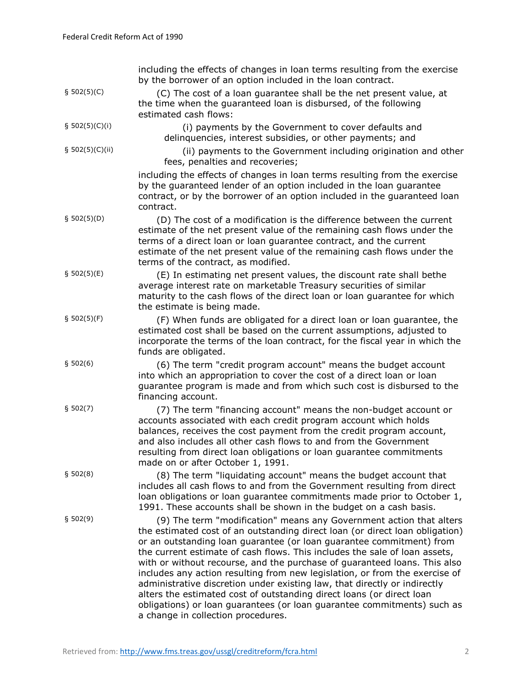|                   | including the effects of changes in loan terms resulting from the exercise<br>by the borrower of an option included in the loan contract.                                                                                                                                                                                                                                                                                                                                                                                                                                                                                                                                                                                                    |
|-------------------|----------------------------------------------------------------------------------------------------------------------------------------------------------------------------------------------------------------------------------------------------------------------------------------------------------------------------------------------------------------------------------------------------------------------------------------------------------------------------------------------------------------------------------------------------------------------------------------------------------------------------------------------------------------------------------------------------------------------------------------------|
| \$502(5)(C)       | (C) The cost of a loan guarantee shall be the net present value, at<br>the time when the guaranteed loan is disbursed, of the following<br>estimated cash flows:                                                                                                                                                                                                                                                                                                                                                                                                                                                                                                                                                                             |
| § $502(5)(C)(i)$  | (i) payments by the Government to cover defaults and<br>delinquencies, interest subsidies, or other payments; and                                                                                                                                                                                                                                                                                                                                                                                                                                                                                                                                                                                                                            |
| § $502(5)(C)(ii)$ | (ii) payments to the Government including origination and other<br>fees, penalties and recoveries;                                                                                                                                                                                                                                                                                                                                                                                                                                                                                                                                                                                                                                           |
|                   | including the effects of changes in loan terms resulting from the exercise<br>by the guaranteed lender of an option included in the loan guarantee<br>contract, or by the borrower of an option included in the guaranteed loan<br>contract.                                                                                                                                                                                                                                                                                                                                                                                                                                                                                                 |
| \$502(5)(D)       | (D) The cost of a modification is the difference between the current<br>estimate of the net present value of the remaining cash flows under the<br>terms of a direct loan or loan guarantee contract, and the current<br>estimate of the net present value of the remaining cash flows under the<br>terms of the contract, as modified.                                                                                                                                                                                                                                                                                                                                                                                                      |
| \$502(5)(E)       | (E) In estimating net present values, the discount rate shall bethe<br>average interest rate on marketable Treasury securities of similar<br>maturity to the cash flows of the direct loan or loan guarantee for which<br>the estimate is being made.                                                                                                                                                                                                                                                                                                                                                                                                                                                                                        |
| \$502(5)(F)       | (F) When funds are obligated for a direct loan or loan guarantee, the<br>estimated cost shall be based on the current assumptions, adjusted to<br>incorporate the terms of the loan contract, for the fiscal year in which the<br>funds are obligated.                                                                                                                                                                                                                                                                                                                                                                                                                                                                                       |
| \$502(6)          | (6) The term "credit program account" means the budget account<br>into which an appropriation to cover the cost of a direct loan or loan<br>guarantee program is made and from which such cost is disbursed to the<br>financing account.                                                                                                                                                                                                                                                                                                                                                                                                                                                                                                     |
| \$502(7)          | (7) The term "financing account" means the non-budget account or<br>accounts associated with each credit program account which holds<br>balances, receives the cost payment from the credit program account,<br>and also includes all other cash flows to and from the Government<br>resulting from direct loan obligations or loan guarantee commitments<br>made on or after October 1, 1991.                                                                                                                                                                                                                                                                                                                                               |
| § 502(8)          | (8) The term "liquidating account" means the budget account that<br>includes all cash flows to and from the Government resulting from direct<br>loan obligations or loan guarantee commitments made prior to October 1,<br>1991. These accounts shall be shown in the budget on a cash basis.                                                                                                                                                                                                                                                                                                                                                                                                                                                |
| \$502(9)          | (9) The term "modification" means any Government action that alters<br>the estimated cost of an outstanding direct loan (or direct loan obligation)<br>or an outstanding loan guarantee (or loan guarantee commitment) from<br>the current estimate of cash flows. This includes the sale of loan assets,<br>with or without recourse, and the purchase of guaranteed loans. This also<br>includes any action resulting from new legislation, or from the exercise of<br>administrative discretion under existing law, that directly or indirectly<br>alters the estimated cost of outstanding direct loans (or direct loan<br>obligations) or loan guarantees (or loan guarantee commitments) such as<br>a change in collection procedures. |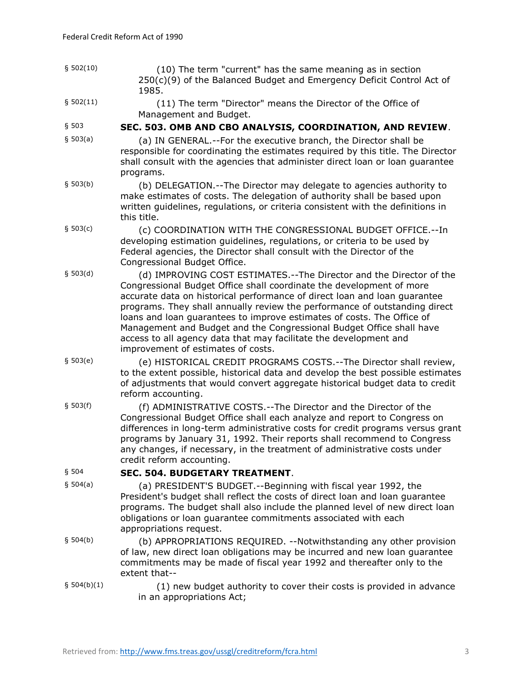| \$502(10)   | (10) The term "current" has the same meaning as in section<br>250(c)(9) of the Balanced Budget and Emergency Deficit Control Act of<br>1985.                                                                                                                                                                                                                                                                                                                                                                                                                        |
|-------------|---------------------------------------------------------------------------------------------------------------------------------------------------------------------------------------------------------------------------------------------------------------------------------------------------------------------------------------------------------------------------------------------------------------------------------------------------------------------------------------------------------------------------------------------------------------------|
| \$502(11)   | (11) The term "Director" means the Director of the Office of<br>Management and Budget.                                                                                                                                                                                                                                                                                                                                                                                                                                                                              |
| § 503       | SEC. 503. OMB AND CBO ANALYSIS, COORDINATION, AND REVIEW.                                                                                                                                                                                                                                                                                                                                                                                                                                                                                                           |
| \$503(a)    | (a) IN GENERAL.--For the executive branch, the Director shall be<br>responsible for coordinating the estimates required by this title. The Director<br>shall consult with the agencies that administer direct loan or loan guarantee<br>programs.                                                                                                                                                                                                                                                                                                                   |
| \$503(b)    | (b) DELEGATION.--The Director may delegate to agencies authority to<br>make estimates of costs. The delegation of authority shall be based upon<br>written guidelines, regulations, or criteria consistent with the definitions in<br>this title.                                                                                                                                                                                                                                                                                                                   |
| \$503(c)    | (c) COORDINATION WITH THE CONGRESSIONAL BUDGET OFFICE.--In<br>developing estimation guidelines, regulations, or criteria to be used by<br>Federal agencies, the Director shall consult with the Director of the<br>Congressional Budget Office.                                                                                                                                                                                                                                                                                                                     |
| \$503(d)    | (d) IMPROVING COST ESTIMATES.--The Director and the Director of the<br>Congressional Budget Office shall coordinate the development of more<br>accurate data on historical performance of direct loan and loan guarantee<br>programs. They shall annually review the performance of outstanding direct<br>loans and loan guarantees to improve estimates of costs. The Office of<br>Management and Budget and the Congressional Budget Office shall have<br>access to all agency data that may facilitate the development and<br>improvement of estimates of costs. |
| \$503(e)    | (e) HISTORICAL CREDIT PROGRAMS COSTS.--The Director shall review,<br>to the extent possible, historical data and develop the best possible estimates<br>of adjustments that would convert aggregate historical budget data to credit<br>reform accounting.                                                                                                                                                                                                                                                                                                          |
| \$503(f)    | (f) ADMINISTRATIVE COSTS.--The Director and the Director of the<br>Congressional Budget Office shall each analyze and report to Congress on<br>differences in long-term administrative costs for credit programs versus grant<br>programs by January 31, 1992. Their reports shall recommend to Congress<br>any changes, if necessary, in the treatment of administrative costs under<br>credit reform accounting.                                                                                                                                                  |
| § 504       | <b>SEC. 504. BUDGETARY TREATMENT.</b>                                                                                                                                                                                                                                                                                                                                                                                                                                                                                                                               |
| \$504(a)    | (a) PRESIDENT'S BUDGET.--Beginning with fiscal year 1992, the<br>President's budget shall reflect the costs of direct loan and loan guarantee<br>programs. The budget shall also include the planned level of new direct loan<br>obligations or loan quarantee commitments associated with each<br>appropriations request.                                                                                                                                                                                                                                          |
| \$504(b)    | (b) APPROPRIATIONS REQUIRED. -- Notwithstanding any other provision<br>of law, new direct loan obligations may be incurred and new loan guarantee<br>commitments may be made of fiscal year 1992 and thereafter only to the<br>extent that--                                                                                                                                                                                                                                                                                                                        |
| § 504(b)(1) | (1) new budget authority to cover their costs is provided in advance<br>in an appropriations Act;                                                                                                                                                                                                                                                                                                                                                                                                                                                                   |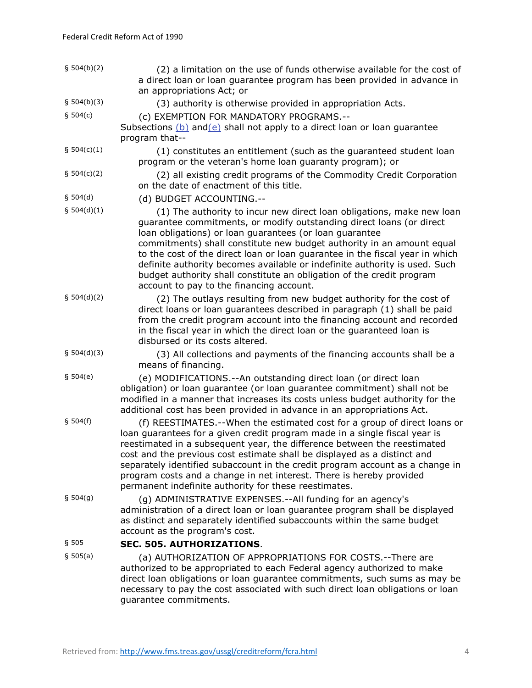| § 504(b)(2)   | (2) a limitation on the use of funds otherwise available for the cost of<br>a direct loan or loan guarantee program has been provided in advance in<br>an appropriations Act; or                                                                                                                                                                                                                                                                                                                                                                                     |
|---------------|----------------------------------------------------------------------------------------------------------------------------------------------------------------------------------------------------------------------------------------------------------------------------------------------------------------------------------------------------------------------------------------------------------------------------------------------------------------------------------------------------------------------------------------------------------------------|
| § 504(b)(3)   | (3) authority is otherwise provided in appropriation Acts.                                                                                                                                                                                                                                                                                                                                                                                                                                                                                                           |
| \$504(c)      | (c) EXEMPTION FOR MANDATORY PROGRAMS.--<br>Subsections $(b)$ and $(e)$ shall not apply to a direct loan or loan guarantee<br>program that--                                                                                                                                                                                                                                                                                                                                                                                                                          |
| § $504(c)(1)$ | (1) constitutes an entitlement (such as the guaranteed student loan<br>program or the veteran's home loan guaranty program); or                                                                                                                                                                                                                                                                                                                                                                                                                                      |
| § $504(c)(2)$ | (2) all existing credit programs of the Commodity Credit Corporation<br>on the date of enactment of this title.                                                                                                                                                                                                                                                                                                                                                                                                                                                      |
| § 504(d)      | (d) BUDGET ACCOUNTING.--                                                                                                                                                                                                                                                                                                                                                                                                                                                                                                                                             |
| § 504(d)(1)   | (1) The authority to incur new direct loan obligations, make new loan<br>guarantee commitments, or modify outstanding direct loans (or direct<br>loan obligations) or loan guarantees (or loan guarantee<br>commitments) shall constitute new budget authority in an amount equal<br>to the cost of the direct loan or loan guarantee in the fiscal year in which<br>definite authority becomes available or indefinite authority is used. Such<br>budget authority shall constitute an obligation of the credit program<br>account to pay to the financing account. |
| § 504(d)(2)   | (2) The outlays resulting from new budget authority for the cost of<br>direct loans or loan guarantees described in paragraph (1) shall be paid<br>from the credit program account into the financing account and recorded<br>in the fiscal year in which the direct loan or the guaranteed loan is<br>disbursed or its costs altered.                                                                                                                                                                                                                               |
| § 504(d)(3)   | (3) All collections and payments of the financing accounts shall be a<br>means of financing.                                                                                                                                                                                                                                                                                                                                                                                                                                                                         |
| \$504(e)      | (e) MODIFICATIONS.--An outstanding direct loan (or direct loan<br>obligation) or loan guarantee (or loan guarantee commitment) shall not be<br>modified in a manner that increases its costs unless budget authority for the<br>additional cost has been provided in advance in an appropriations Act.                                                                                                                                                                                                                                                               |
| § 504(f)      | (f) REESTIMATES.--When the estimated cost for a group of direct loans or<br>loan guarantees for a given credit program made in a single fiscal year is<br>reestimated in a subsequent year, the difference between the reestimated<br>cost and the previous cost estimate shall be displayed as a distinct and<br>separately identified subaccount in the credit program account as a change in<br>program costs and a change in net interest. There is hereby provided<br>permanent indefinite authority for these reestimates.                                     |
| \$504(g)      | (g) ADMINISTRATIVE EXPENSES.--All funding for an agency's<br>administration of a direct loan or loan guarantee program shall be displayed<br>as distinct and separately identified subaccounts within the same budget<br>account as the program's cost.                                                                                                                                                                                                                                                                                                              |
| §505          | SEC. 505. AUTHORIZATIONS.                                                                                                                                                                                                                                                                                                                                                                                                                                                                                                                                            |
| \$505(a)      | (a) AUTHORIZATION OF APPROPRIATIONS FOR COSTS.--There are<br>authorized to be appropriated to each Federal agency authorized to make<br>direct loan obligations or loan guarantee commitments, such sums as may be<br>necessary to pay the cost associated with such direct loan obligations or loan<br>guarantee commitments.                                                                                                                                                                                                                                       |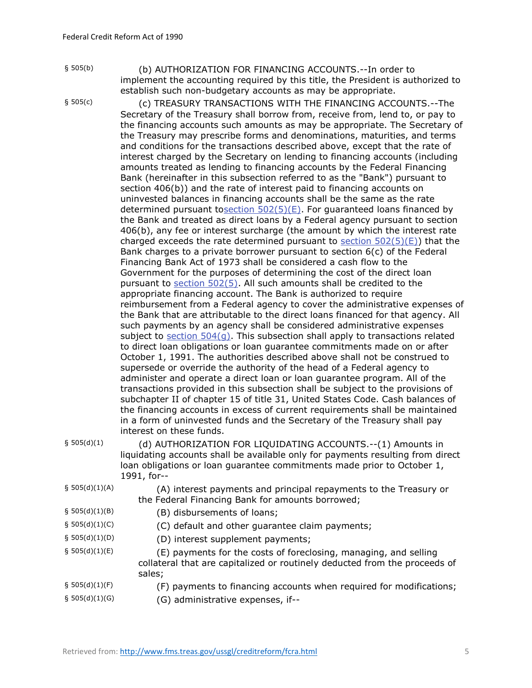§ 505(b)

§ 505(c)

 (b) AUTHORIZATION FOR FINANCING ACCOUNTS.--In order to implement the accounting required by this title, the President is authorized to establish such non-budgetary accounts as may be appropriate.

 (c) TREASURY TRANSACTIONS WITH THE FINANCING ACCOUNTS.--The Secretary of the Treasury shall borrow from, receive from, lend to, or pay to the financing accounts such amounts as may be appropriate. The Secretary of the Treasury may prescribe forms and denominations, maturities, and terms and conditions for the transactions described above, except that the rate of interest charged by the Secretary on lending to financing accounts (including amounts treated as lending to financing accounts by the Federal Financing Bank (hereinafter in this subsection referred to as the "Bank") pursuant to section 406(b)) and the rate of interest paid to financing accounts on uninvested balances in financing accounts shall be the same as the rate determined pursuant tosection  $502(5)(E)$ . For guaranteed loans financed by the Bank and treated as direct loans by a Federal agency pursuant to section 406(b), any fee or interest surcharge (the amount by which the interest rate charged exceeds the rate determined pursuant to section  $502(5)(E)$ ) that the Bank charges to a private borrower pursuant to section 6(c) of the Federal Financing Bank Act of 1973 shall be considered a cash flow to the Government for the purposes of determining the cost of the direct loan pursuant to [section 502\(5\).](http://www.fms.treas.gov/ussgl/creditreform/fcra.html#502(5)) All such amounts shall be credited to the appropriate financing account. The Bank is authorized to require reimbursement from a Federal agency to cover the administrative expenses of the Bank that are attributable to the direct loans financed for that agency. All such payments by an agency shall be considered administrative expenses subject to section  $504(q)$ . This subsection shall apply to transactions related to direct loan obligations or loan guarantee commitments made on or after October 1, 1991. The authorities described above shall not be construed to supersede or override the authority of the head of a Federal agency to administer and operate a direct loan or loan guarantee program. All of the transactions provided in this subsection shall be subject to the provisions of subchapter II of chapter 15 of title 31, United States Code. Cash balances of the financing accounts in excess of current requirements shall be maintained in a form of uninvested funds and the Secretary of the Treasury shall pay interest on these funds.

§ 505(d)(1)

 (d) AUTHORIZATION FOR LIQUIDATING ACCOUNTS.--(1) Amounts in liquidating accounts shall be available only for payments resulting from direct loan obligations or loan guarantee commitments made prior to October 1, 1991, for--

§ 505(d)(1)(A)

 (A) interest payments and principal repayments to the Treasury or the Federal Financing Bank for amounts borrowed;

- § 505(d)(1)(B) (B) disbursements of loans;
- § 505(d)(1)(C) (C) default and other guarantee claim payments;
- § 505(d)(1)(D) (D) interest supplement payments;
- § 505(d)(1)(E) (E) payments for the costs of foreclosing, managing, and selling collateral that are capitalized or routinely deducted from the proceeds of sales;
- $§ 505(d)(1)(F)$ (F) payments to financing accounts when required for modifications;
- § 505(d)(1)(G) (G) administrative expenses, if--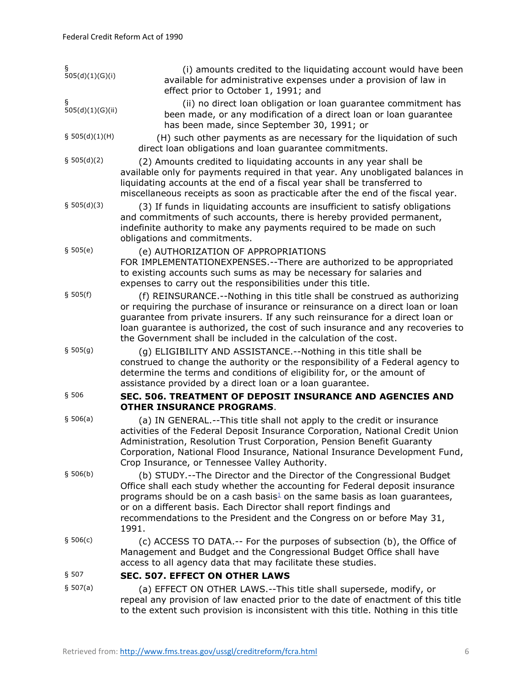| ş<br>505(d)(1)(G)(i)  | (i) amounts credited to the liquidating account would have been<br>available for administrative expenses under a provision of law in<br>effect prior to October 1, 1991; and                                                                                                                                                                                                                           |
|-----------------------|--------------------------------------------------------------------------------------------------------------------------------------------------------------------------------------------------------------------------------------------------------------------------------------------------------------------------------------------------------------------------------------------------------|
| ş<br>505(d)(1)(G)(ii) | (ii) no direct loan obligation or loan guarantee commitment has<br>been made, or any modification of a direct loan or loan quarantee<br>has been made, since September 30, 1991; or                                                                                                                                                                                                                    |
| \$505(d)(1)(H)        | (H) such other payments as are necessary for the liquidation of such<br>direct loan obligations and loan guarantee commitments.                                                                                                                                                                                                                                                                        |
| § 505(d)(2)           | (2) Amounts credited to liquidating accounts in any year shall be<br>available only for payments required in that year. Any unobligated balances in<br>liquidating accounts at the end of a fiscal year shall be transferred to<br>miscellaneous receipts as soon as practicable after the end of the fiscal year.                                                                                     |
| § 505(d)(3)           | (3) If funds in liquidating accounts are insufficient to satisfy obligations<br>and commitments of such accounts, there is hereby provided permanent,<br>indefinite authority to make any payments required to be made on such<br>obligations and commitments.                                                                                                                                         |
| \$505(e)              | (e) AUTHORIZATION OF APPROPRIATIONS<br>FOR IMPLEMENTATIONEXPENSES.--There are authorized to be appropriated<br>to existing accounts such sums as may be necessary for salaries and<br>expenses to carry out the responsibilities under this title.                                                                                                                                                     |
| \$505(f)              | (f) REINSURANCE.--Nothing in this title shall be construed as authorizing<br>or requiring the purchase of insurance or reinsurance on a direct loan or loan<br>guarantee from private insurers. If any such reinsurance for a direct loan or<br>loan guarantee is authorized, the cost of such insurance and any recoveries to<br>the Government shall be included in the calculation of the cost.     |
| \$505(g)              | (g) ELIGIBILITY AND ASSISTANCE.--Nothing in this title shall be<br>construed to change the authority or the responsibility of a Federal agency to<br>determine the terms and conditions of eligibility for, or the amount of<br>assistance provided by a direct loan or a loan guarantee.                                                                                                              |
| §506                  | SEC. 506. TREATMENT OF DEPOSIT INSURANCE AND AGENCIES AND<br><b>OTHER INSURANCE PROGRAMS.</b>                                                                                                                                                                                                                                                                                                          |
| \$506(a)              | (a) IN GENERAL.--This title shall not apply to the credit or insurance<br>activities of the Federal Deposit Insurance Corporation, National Credit Union<br>Administration, Resolution Trust Corporation, Pension Benefit Guaranty<br>Corporation, National Flood Insurance, National Insurance Development Fund,<br>Crop Insurance, or Tennessee Valley Authority.                                    |
| \$506(b)              | (b) STUDY.--The Director and the Director of the Congressional Budget<br>Office shall each study whether the accounting for Federal deposit insurance<br>programs should be on a cash basis $\frac{1}{2}$ on the same basis as loan guarantees,<br>or on a different basis. Each Director shall report findings and<br>recommendations to the President and the Congress on or before May 31,<br>1991. |
| \$506(c)              | (c) ACCESS TO DATA .-- For the purposes of subsection (b), the Office of<br>Management and Budget and the Congressional Budget Office shall have<br>access to all agency data that may facilitate these studies.                                                                                                                                                                                       |
| § 507                 | <b>SEC. 507. EFFECT ON OTHER LAWS</b>                                                                                                                                                                                                                                                                                                                                                                  |
| \$507(a)              | (a) EFFECT ON OTHER LAWS.--This title shall supersede, modify, or<br>repeal any provision of law enacted prior to the date of enactment of this title<br>to the extent such provision is inconsistent with this title. Nothing in this title                                                                                                                                                           |